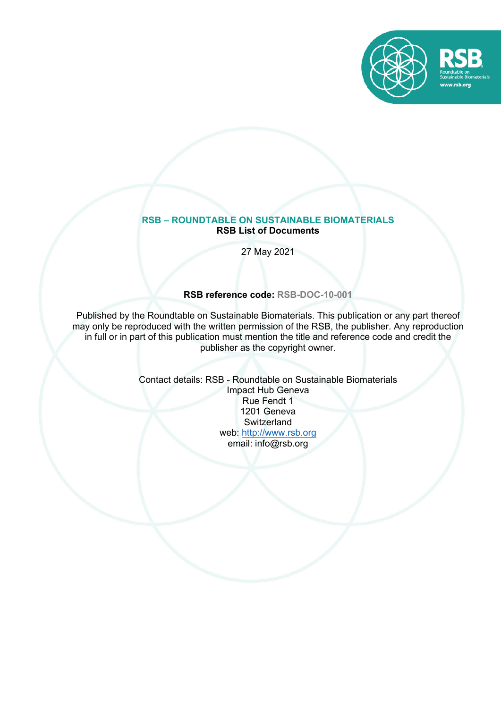

#### **RSB – ROUNDTABLE ON SUSTAINABLE BIOMATERIALS RSB List of Documents**

27 May 2021

**RSB reference code: RSB-DOC-10-001**

Published by the Roundtable on Sustainable Biomaterials. This publication or any part thereof may only be reproduced with the written permission of the RSB, the publisher. Any reproduction in full or in part of this publication must mention the title and reference code and credit the publisher as the copyright owner.

> Contact details: RSB - Roundtable on Sustainable Biomaterials Impact Hub Geneva Rue Fendt 1 1201 Geneva **Switzerland** web: http://www.rsb.org email: info@rsb.org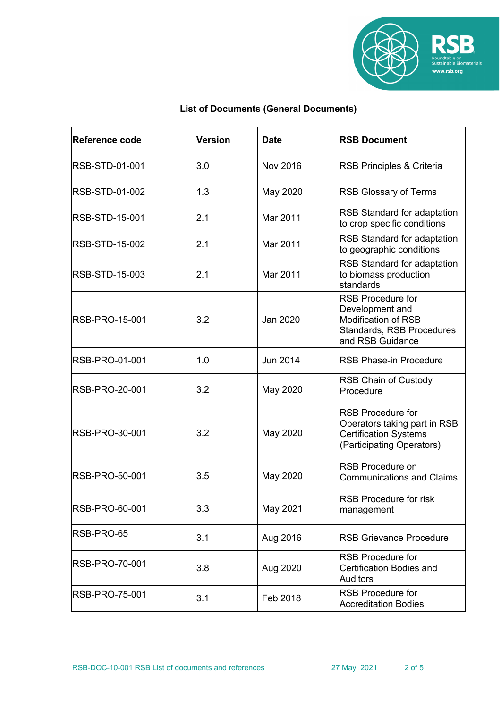

# **List of Documents (General Documents)**

| Reference code        | <b>Version</b> | <b>Date</b>     | <b>RSB Document</b>                                                                                                        |
|-----------------------|----------------|-----------------|----------------------------------------------------------------------------------------------------------------------------|
| RSB-STD-01-001        | 3.0            | <b>Nov 2016</b> | RSB Principles & Criteria                                                                                                  |
| RSB-STD-01-002        | 1.3            | May 2020        | <b>RSB Glossary of Terms</b>                                                                                               |
| <b>RSB-STD-15-001</b> | 2.1            | Mar 2011        | RSB Standard for adaptation<br>to crop specific conditions                                                                 |
| RSB-STD-15-002        | 2.1            | Mar 2011        | <b>RSB Standard for adaptation</b><br>to geographic conditions                                                             |
| RSB-STD-15-003        | 2.1            | Mar 2011        | RSB Standard for adaptation<br>to biomass production<br>standards                                                          |
| <b>RSB-PRO-15-001</b> | 3.2            | Jan 2020        | <b>RSB Procedure for</b><br>Development and<br><b>Modification of RSB</b><br>Standards, RSB Procedures<br>and RSB Guidance |
| RSB-PRO-01-001        | 1.0            | <b>Jun 2014</b> | <b>RSB Phase-in Procedure</b>                                                                                              |
| RSB-PRO-20-001        | 3.2            | May 2020        | <b>RSB Chain of Custody</b><br>Procedure                                                                                   |
| <b>RSB-PRO-30-001</b> | 3.2            | May 2020        | <b>RSB Procedure for</b><br>Operators taking part in RSB<br><b>Certification Systems</b><br>(Participating Operators)      |
| RSB-PRO-50-001        | 3.5            | May 2020        | <b>RSB Procedure on</b><br><b>Communications and Claims</b>                                                                |
| RSB-PRO-60-001        | 3.3            | May 2021        | <b>RSB Procedure for risk</b><br>management                                                                                |
| RSB-PRO-65            | 3.1            | Aug 2016        | <b>RSB Grievance Procedure</b>                                                                                             |
| RSB-PRO-70-001        | 3.8            | Aug 2020        | <b>RSB Procedure for</b><br><b>Certification Bodies and</b><br><b>Auditors</b>                                             |
| RSB-PRO-75-001        | 3.1            | Feb 2018        | <b>RSB Procedure for</b><br><b>Accreditation Bodies</b>                                                                    |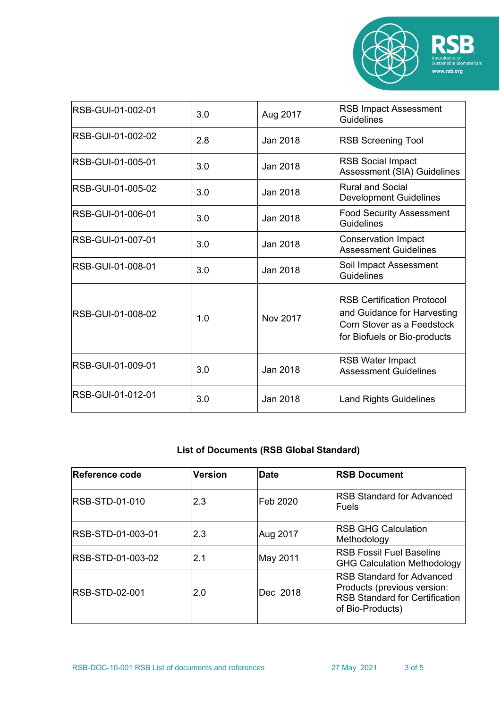

| RSB-GUI-01-002-01        | 3.0 | Aug 2017 | <b>RSB Impact Assessment</b><br><b>Guidelines</b>                                                                              |
|--------------------------|-----|----------|--------------------------------------------------------------------------------------------------------------------------------|
| RSB-GUI-01-002-02        | 2.8 | Jan 2018 | <b>RSB Screening Tool</b>                                                                                                      |
| <b>RSB-GUI-01-005-01</b> | 3.0 | Jan 2018 | <b>RSB Social Impact</b><br>Assessment (SIA) Guidelines                                                                        |
| RSB-GUI-01-005-02        | 3.0 | Jan 2018 | <b>Rural and Social</b><br><b>Development Guidelines</b>                                                                       |
| RSB-GUI-01-006-01        | 3.0 | Jan 2018 | <b>Food Security Assessment</b><br>Guidelines                                                                                  |
| RSB-GUI-01-007-01        | 3.0 | Jan 2018 | <b>Conservation Impact</b><br><b>Assessment Guidelines</b>                                                                     |
| RSB-GUI-01-008-01        | 3.0 | Jan 2018 | Soil Impact Assessment<br>Guidelines                                                                                           |
| RSB-GUI-01-008-02        | 1.0 | Nov 2017 | <b>RSB Certification Protocol</b><br>and Guidance for Harvesting<br>Corn Stover as a Feedstock<br>for Biofuels or Bio-products |
| RSB-GUI-01-009-01        | 3.0 | Jan 2018 | <b>RSB Water Impact</b><br><b>Assessment Guidelines</b>                                                                        |
| RSB-GUI-01-012-01        | 3.0 | Jan 2018 | <b>Land Rights Guidelines</b>                                                                                                  |

# **List of Documents (RSB Global Standard)**

| Reference code        | <b>Version</b> | Date      | <b>RSB Document</b>                                                                                                           |
|-----------------------|----------------|-----------|-------------------------------------------------------------------------------------------------------------------------------|
| <b>RSB-STD-01-010</b> | 2.3            | lFeb 2020 | <b>RSB Standard for Advanced</b><br>lFuels                                                                                    |
| RSB-STD-01-003-01     | 2.3            | Aug 2017  | IRSB GHG Calculation<br>Methodology                                                                                           |
| RSB-STD-01-003-02     | 2.1            | May 2011  | <b>IRSB Fossil Fuel Baseline</b><br><b>GHG Calculation Methodology</b>                                                        |
| <b>RSB-STD-02-001</b> | 2.0            | Dec 2018  | <b>IRSB Standard for Advanced</b><br>Products (previous version:<br><b>RSB Standard for Certification</b><br>of Bio-Products) |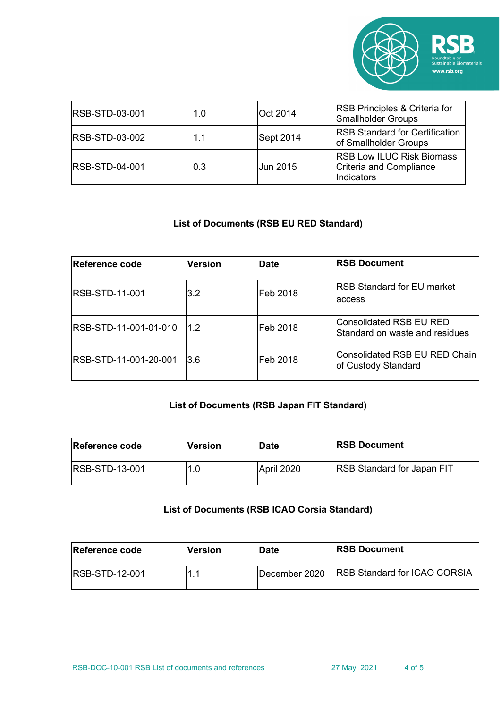

| <b>RSB-STD-03-001</b>  | 1.0 | Oct 2014        | <b>RSB Principles &amp; Criteria for</b><br><b>Smallholder Groups</b>     |
|------------------------|-----|-----------------|---------------------------------------------------------------------------|
| <b>RSB-STD-03-002</b>  | 1.1 | Sept 2014       | <b>IRSB Standard for Certification</b><br>of Smallholder Groups           |
| <b>IRSB-STD-04-001</b> | 0.3 | <b>Jun 2015</b> | <b>RSB Low ILUC Risk Biomass</b><br>Criteria and Compliance<br>Indicators |

## **List of Documents (RSB EU RED Standard)**

| Reference code        | <b>Version</b> | <b>Date</b> | <b>RSB Document</b>                                       |
|-----------------------|----------------|-------------|-----------------------------------------------------------|
| IRSB-STD-11-001       | 3.2            | Feb 2018    | <b>RSB Standard for EU market</b><br>laccess              |
| RSB-STD-11-001-01-010 | 1.2            | Feb 2018    | Consolidated RSB EU RED<br>Standard on waste and residues |
| RSB-STD-11-001-20-001 | l3.6           | Feb 2018    | Consolidated RSB EU RED Chain<br>of Custody Standard      |

# **List of Documents (RSB Japan FIT Standard)**

| Reference code         | Version | Date       | <b>RSB Document</b>               |
|------------------------|---------|------------|-----------------------------------|
| <b>IRSB-STD-13-001</b> | 1.0     | April 2020 | <b>RSB Standard for Japan FIT</b> |

### **List of Documents (RSB ICAO Corsia Standard)**

| <b>Reference code</b>  | Version | Date                  | <b>RSB Document</b>                  |
|------------------------|---------|-----------------------|--------------------------------------|
| <b>IRSB-STD-12-001</b> |         | <b>IDecember 2020</b> | <b>IRSB Standard for ICAO CORSIA</b> |